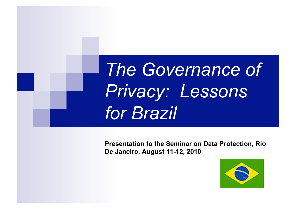*The Governance of Privacy: Lessons for Brazil* 

**Presentation to the Seminar on Data Protection, Rio De Janeiro, August 11-12, 2010** 

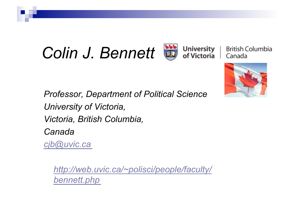# **Colin J. Bennett B** *dniversity* |



British Columbia Canada



*Professor, Department of Political Science University of Victoria, Victoria, British Columbia, Canada cjb@uvic.ca*

*http://web.uvic.ca/~polisci/people/faculty/ bennett.php*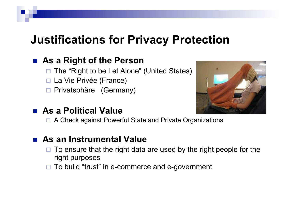## **Justifications for Privacy Protection**

### **As a Right of the Person**

- □ The "Right to be Let Alone" (United States)
- □ La Vie Privée (France)
- □ Privatsphäre (Germany)

#### **As a Political Value**



□ A Check against Powerful State and Private Organizations

#### **As an Instrumental Value**

- $\Box$  To ensure that the right data are used by the right people for the right purposes
- $\Box$  To build "trust" in e-commerce and e-government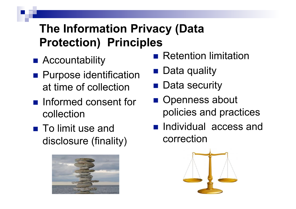## **The Information Privacy (Data Protection) Principles**

- Accountability
- **Purpose identification** at time of collection
- **n** Informed consent for collection
- To limit use and disclosure (finality)



- **Retention limitation**
- Data quality
- Data security
- Openness about policies and practices
- **Individual access and** correction

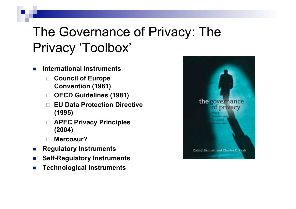## The Governance of Privacy: The Privacy 'Toolbox'

- **International Instruments** 
	- **Council of Europe Convention (1981)**
	- **OECD Guidelines (1981)**
	- **EU Data Protection Directive (1995)**
	- **APEC Privacy Principles (2004)**
	- **Mercosur?**
- **Regulatory Instruments**
- **EXECUTE: Self-Regulatory Instruments**
- **EXECUTE: Technological Instruments**

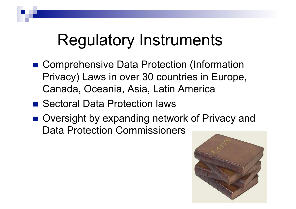# Regulatory Instruments

- Comprehensive Data Protection (Information Privacy) Laws in over 30 countries in Europe, Canada, Oceania, Asia, Latin America
- Sectoral Data Protection laws
- Oversight by expanding network of Privacy and Data Protection Commissioners

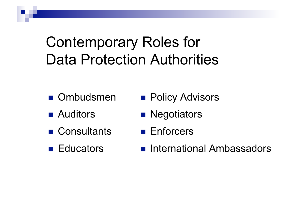Contemporary Roles for Data Protection Authorities

- **Ombudsmen**
- Auditors
- Consultants
- **Educators**
- **Policy Advisors**
- **Negotiators**
- **Enforcers**
- **n** International Ambassadors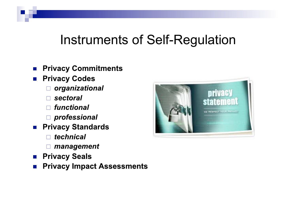## Instruments of Self-Regulation

- **Privacy Commitments**
- **Privacy Codes** 
	- organizational  $\Box$
	- $\Box$  sectoral
	- $\Box$  functional
	- professional
- **Privacy Standards** 
	- technical  $\Box$
	- management
- **Privacy Seals**
- **Privacy Impact Assessments**  $\mathcal{L}(\mathcal{A})$

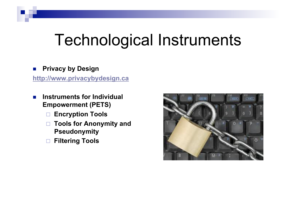# Technological Instruments

#### **Privacy by Design**

**http://www.privacybydesign.ca** 

- **Instruments for Individual Empowerment (PETS)** 
	- **Encryption Tools**
	- **Tools for Anonymity and Pseudonymity**
	- **Filtering Tools**

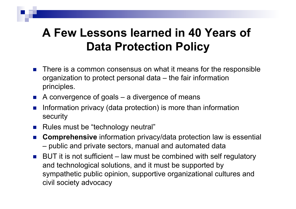## **A Few Lessons learned in 40 Years of Data Protection Policy**

- There is a common consensus on what it means for the responsible organization to protect personal data – the fair information principles.
- $\blacksquare$  A convergence of goals a divergence of means
- Information privacy (data protection) is more than information security
- Rules must be "technology neutral"
- **Comprehensive** information privacy/data protection law is essential – public and private sectors, manual and automated data
- $\blacksquare$  BUT it is not sufficient law must be combined with self regulatory and technological solutions, and it must be supported by sympathetic public opinion, supportive organizational cultures and civil society advocacy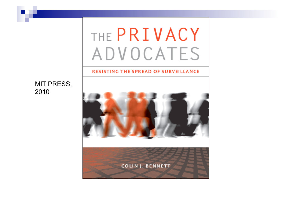# THE PRIVACY **ADVOCATES**

#### **RESISTING THE SPREAD OF SURVEILLANCE**

#### MIT PRESS, 2010

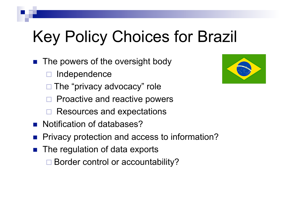# Key Policy Choices for Brazil

- The powers of the oversight body
	- Independence
	- The "privacy advocacy" role
	- Proactive and reactive powers
	- Resources and expectations
- Notification of databases?
- Privacy protection and access to information?
- $\blacksquare$  The regulation of data exports
	- □ Border control or accountability?

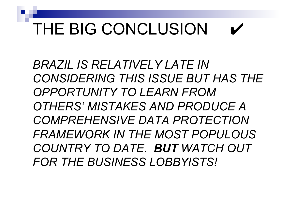# THE BIG CONCLUSION

*BRAZIL IS RELATIVELY LATE IN CONSIDERING THIS ISSUE BUT HAS THE OPPORTUNITY TO LEARN FROM OTHERS' MISTAKES AND PRODUCE A COMPREHENSIVE DATA PROTECTION FRAMEWORK IN THE MOST POPULOUS COUNTRY TO DATE. BUT WATCH OUT FOR THE BUSINESS LOBBYISTS!*